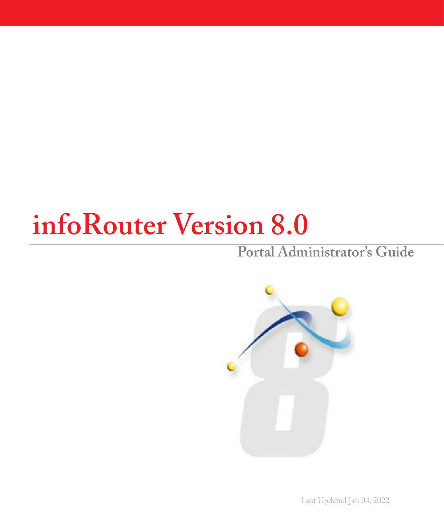# **infoRouter Version 8.0**

### **Portal Administrator's Guide**



Last Updated Jan 04, 2022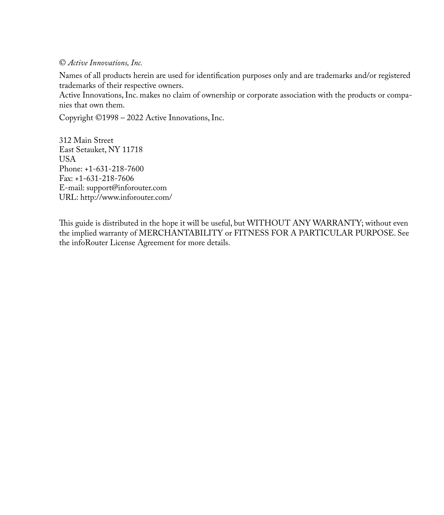#### © *Active Innovations, Inc.*

Names of all products herein are used for identification purposes only and are trademarks and/or registered trademarks of their respective owners.

Active Innovations, Inc. makes no claim of ownership or corporate association with the products or companies that own them.

Copyright ©1998 – 2022 Active Innovations, Inc.

312 Main Street East Setauket, NY 11718 **USA** Phone: +1-631-218-7600 Fax: +1-631-218-7606 E-mail: support@inforouter.com URL: http://www.inforouter.com/

This guide is distributed in the hope it will be useful, but WITHOUT ANY WARRANTY; without even the implied warranty of MERCHANTABILITY or FITNESS FOR A PARTICULAR PURPOSE. See the infoRouter License Agreement for more details.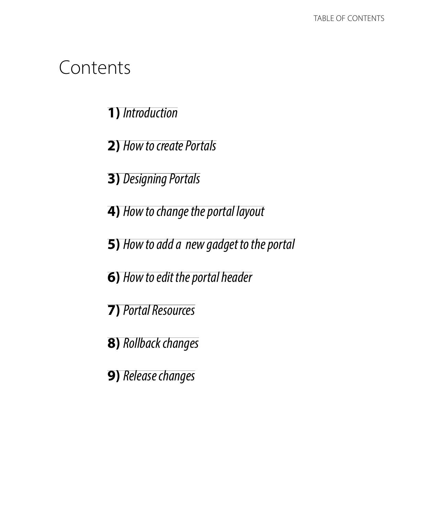### Contents

**1)** *Introduction*

**2)** *How to create Portals*

**3)** *Designing Portals*

- **4)** *How to change the portal layout*
- **5)** *How to add a new gadget to the portal*
- **6)** *How to edit the portal header*
- **7)** *Portal Resources*
- **8)** *Rollback changes*
- **9)** *Release changes*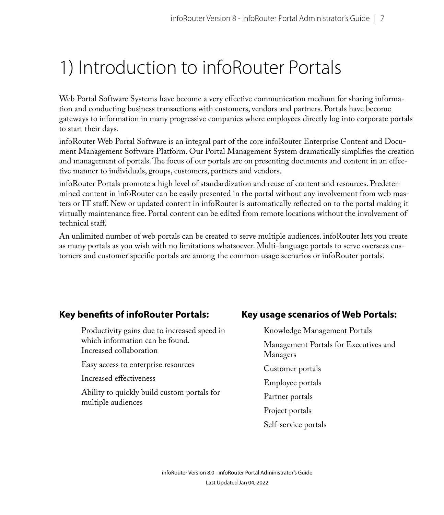### 1) Introduction to infoRouter Portals

Web Portal Software Systems have become a very effective communication medium for sharing information and conducting business transactions with customers, vendors and partners. Portals have become gateways to information in many progressive companies where employees directly log into corporate portals to start their days.

infoRouter Web Portal Software is an integral part of the core infoRouter Enterprise Content and Document Management Software Platform. Our Portal Management System dramatically simplifies the creation and management of portals. The focus of our portals are on presenting documents and content in an effective manner to individuals, groups, customers, partners and vendors.

infoRouter Portals promote a high level of standardization and reuse of content and resources. Predetermined content in infoRouter can be easily presented in the portal without any involvement from web masters or IT staff. New or updated content in infoRouter is automatically reflected on to the portal making it virtually maintenance free. Portal content can be edited from remote locations without the involvement of technical staff.

An unlimited number of web portals can be created to serve multiple audiences. infoRouter lets you create as many portals as you wish with no limitations whatsoever. Multi-language portals to serve overseas customers and customer specific portals are among the common usage scenarios or infoRouter portals.

#### **Key benefits of infoRouter Portals:**

Productivity gains due to increased speed in which information can be found. Increased collaboration

Easy access to enterprise resources

Increased effectiveness

Ability to quickly build custom portals for multiple audiences

#### **Key usage scenarios of Web Portals:**

Knowledge Management Portals Management Portals for Executives and Managers Customer portals Employee portals Partner portals Project portals Self-service portals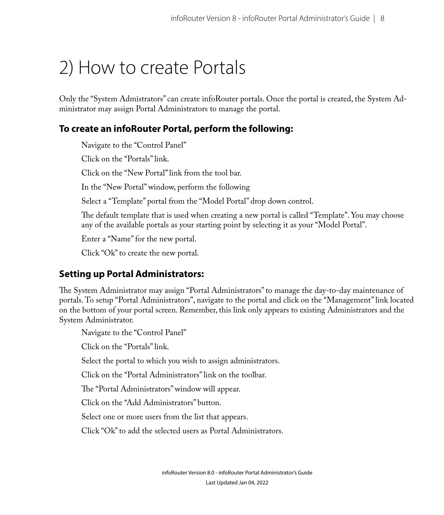### 2) How to create Portals

Only the "System Admistrators" can create infoRouter portals. Once the portal is created, the System Administrator may assign Portal Administrators to manage the portal.

#### **To create an infoRouter Portal, perform the following:**

Navigate to the "Control Panel"

Click on the "Portals" link.

Click on the "New Portal" link from the tool bar.

In the "New Portal" window, perform the following

Select a "Template" portal from the "Model Portal" drop down control.

The default template that is used when creating a new portal is called "Template". You may choose any of the available portals as your starting point by selecting it as your "Model Portal".

Enter a "Name" for the new portal.

Click "Ok" to create the new portal.

#### **Setting up Portal Administrators:**

The System Administrator may assign "Portal Administrators" to manage the day-to-day maintenance of portals. To setup "Portal Administrators", navigate to the portal and click on the "Management" link located on the bottom of your portal screen. Remember, this link only appears to existing Administrators and the System Administrator.

Navigate to the "Control Panel"

Click on the "Portals" link.

Select the portal to which you wish to assign administrators.

Click on the "Portal Administrators" link on the toolbar.

The "Portal Administrators" window will appear.

Click on the "Add Administrators" button.

Select one or more users from the list that appears.

Click "Ok" to add the selected users as Portal Administrators.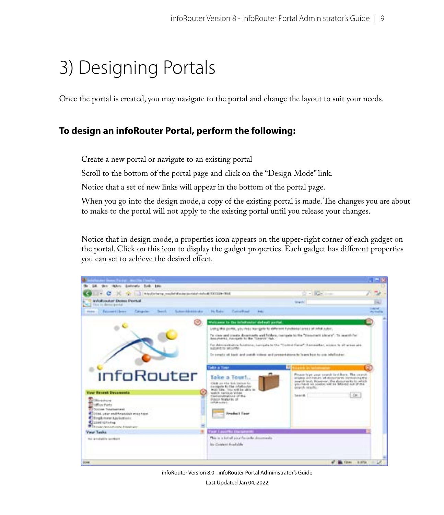### 3) Designing Portals

Once the portal is created, you may navigate to the portal and change the layout to suit your needs.

#### **To design an infoRouter Portal, perform the following:**

Create a new portal or navigate to an existing portal

Scroll to the bottom of the portal page and click on the "Design Mode" link.

Notice that a set of new links will appear in the bottom of the portal page.

When you go into the design mode, a copy of the existing portal is made. The changes you are about to make to the portal will not apply to the existing portal until you release your changes.

Notice that in design mode, a properties icon appears on the upper-right corner of each gadget on the portal. Click on this icon to display the gadget properties. Each gadget has different properties you can set to achieve the desired effect.



infoRouter Version 8.0 - infoRouter Portal Administrator's Guide

Last Updated Jan 04, 2022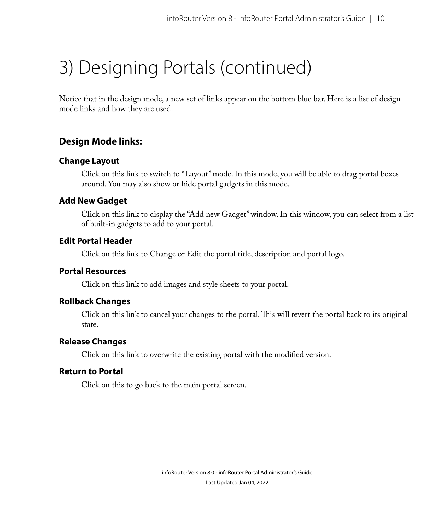## 3) Designing Portals (continued)

Notice that in the design mode, a new set of links appear on the bottom blue bar. Here is a list of design mode links and how they are used.

#### **Design Mode links:**

#### **Change Layout**

Click on this link to switch to "Layout" mode. In this mode, you will be able to drag portal boxes around. You may also show or hide portal gadgets in this mode.

#### **Add New Gadget**

Click on this link to display the "Add new Gadget" window. In this window, you can select from a list of built-in gadgets to add to your portal.

#### **Edit Portal Header**

Click on this link to Change or Edit the portal title, description and portal logo.

#### **Portal Resources**

Click on this link to add images and style sheets to your portal.

#### **Rollback Changes**

Click on this link to cancel your changes to the portal. This will revert the portal back to its original state.

#### **Release Changes**

Click on this link to overwrite the existing portal with the modified version.

#### **Return to Portal**

Click on this to go back to the main portal screen.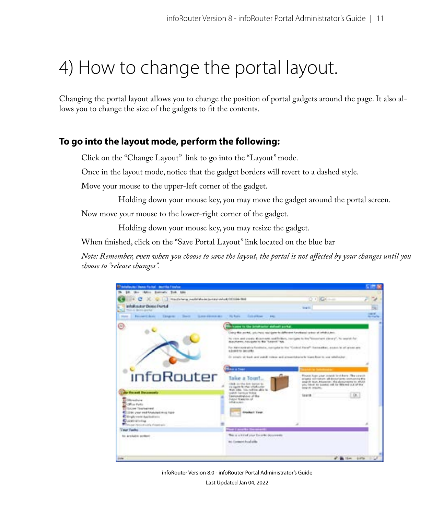### 4) How to change the portal layout.

Changing the portal layout allows you to change the position of portal gadgets around the page. It also allows you to change the size of the gadgets to fit the contents.

#### **To go into the layout mode, perform the following:**

Click on the "Change Layout" link to go into the "Layout" mode.

Once in the layout mode, notice that the gadget borders will revert to a dashed style.

Move your mouse to the upper-left corner of the gadget.

Holding down your mouse key, you may move the gadget around the portal screen.

Now move your mouse to the lower-right corner of the gadget.

Holding down your mouse key, you may resize the gadget.

When finished, click on the "Save Portal Layout" link located on the blue bar

*Note: Remember, even when you choose to save the layout, the portal is not affected by your changes until you choose to "release changes".*



infoRouter Version 8.0 - infoRouter Portal Administrator's Guide

Last Updated Jan 04, 2022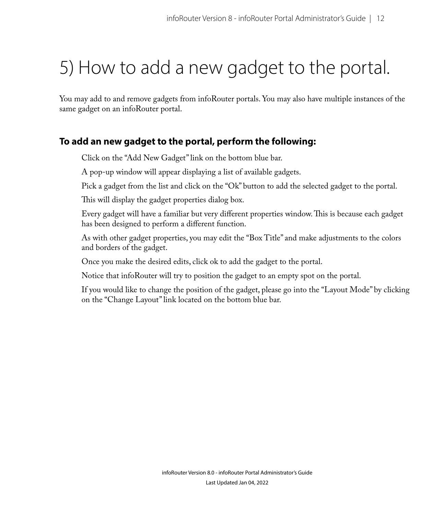## 5) How to add a new gadget to the portal.

You may add to and remove gadgets from infoRouter portals. You may also have multiple instances of the same gadget on an infoRouter portal.

#### **To add an new gadget to the portal, perform the following:**

Click on the "Add New Gadget" link on the bottom blue bar.

A pop-up window will appear displaying a list of available gadgets.

Pick a gadget from the list and click on the "Ok" button to add the selected gadget to the portal.

This will display the gadget properties dialog box.

Every gadget will have a familiar but very different properties window. This is because each gadget has been designed to perform a different function.

As with other gadget properties, you may edit the "Box Title" and make adjustments to the colors and borders of the gadget.

Once you make the desired edits, click ok to add the gadget to the portal.

Notice that infoRouter will try to position the gadget to an empty spot on the portal.

If you would like to change the position of the gadget, please go into the "Layout Mode" by clicking on the "Change Layout" link located on the bottom blue bar.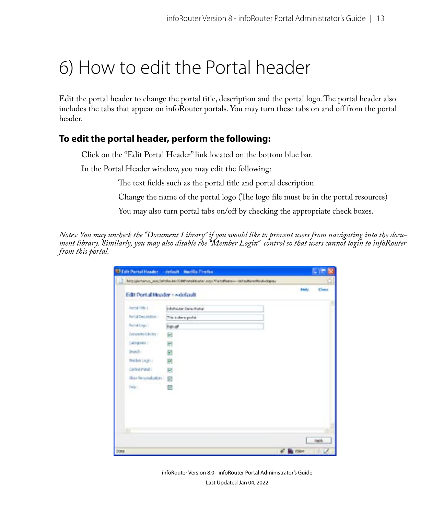### 6) How to edit the Portal header

Edit the portal header to change the portal title, description and the portal logo. The portal header also includes the tabs that appear on infoRouter portals. You may turn these tabs on and off from the portal header.

#### **To edit the portal header, perform the following:**

Click on the "Edit Portal Header" link located on the bottom blue bar.

In the Portal Header window, you may edit the following:

The text fields such as the portal title and portal description

Change the name of the portal logo (The logo file must be in the portal resources)

You may also turn portal tabs on/off by checking the appropriate check boxes.

*Notes: You may uncheck the "Document Library" if you would like to prevent users from navigating into the document library. Similarly, you may also disable the "Member Login" control so that users cannot login to infoRouter from this portal.*

|                                | U Fait Portal Header - circuit - Martila Fredes.                                     |               | $-10$       |
|--------------------------------|--------------------------------------------------------------------------------------|---------------|-------------|
|                                | http://whenay_ear/infoReuter/(distrintelevater.equithets@ame=~defaultimethod=deploy- |               |             |
| Edit Port al Header + Adelault |                                                                                      | <b>Harley</b> | Climat      |
| Ferral Title 1                 | Infolactor Derio Portal                                                              |               |             |
| For all Concelebrate           | This is shown postal.                                                                |               |             |
| Restablished in                | <b>Rigo of</b>                                                                       |               |             |
| <b>Denverto Christini</b>      | 回                                                                                    |               |             |
| Calegorie II                   | Θ                                                                                    |               |             |
| deurch-                        | ø                                                                                    |               |             |
| <b>The first Lugica</b>        | Я                                                                                    |               |             |
| Control Panel II               | g,                                                                                   |               |             |
| Nailworkinn: 9                 |                                                                                      |               |             |
| Felp:                          | Ø                                                                                    |               |             |
|                                |                                                                                      |               |             |
|                                |                                                                                      |               |             |
|                                |                                                                                      |               |             |
|                                |                                                                                      |               |             |
|                                |                                                                                      |               |             |
|                                |                                                                                      |               | <b>Jack</b> |
|                                |                                                                                      | of the room   |             |

infoRouter Version 8.0 - infoRouter Portal Administrator's Guide Last Updated Jan 04, 2022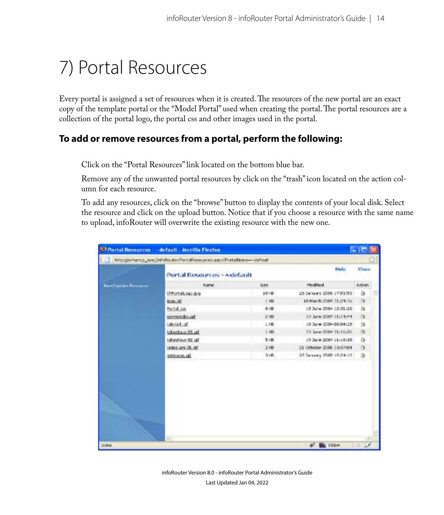### 7) Portal Resources

Every portal is assigned a set of resources when it is created. The resources of the new portal are an exact copy of the template portal or the "Model Portal" used when creating the portal. The portal resources are a collection of the portal logo, the portal css and other images used in the portal.

#### **To add or remove resources from a portal, perform the following:**

Click on the "Portal Resources" link located on the bottom blue bar.

Remove any of the unwanted portal resources by click on the "trash" icon located on the action column for each resource.

To add any resources, click on the "browse" button to display the contents of your local disk. Select the resource and click on the upload button. Notice that if you choose a resource with the same name to upload, infoRouter will overwrite the existing resource with the new one.

|                            | Di Portal Resources - default - Aiszilla Firefox                         |            |                           | <b>CONTENT</b>   |    |
|----------------------------|--------------------------------------------------------------------------|------------|---------------------------|------------------|----|
|                            | http://orhanspwor/infoRautor/Fartallicoources.aspx?Partallizero---dataut |            |                           |                  | S. |
|                            | Portal Resources - Adefault                                              |            | <b>Bludo</b>              | <b>Close</b>     |    |
| <b>New Option Requires</b> | Name                                                                     | 520        | Podfed                    | Amon             |    |
|                            | <b>Si Part allages bra</b>                                               | $10 - 0$   | 28 Servery 2009 17:53:55  | ä                |    |
|                            | 0.00.07                                                                  | 1.08       | 10 March 2009 21:29:36    | a                |    |
|                            | Portal coc                                                               | 6 iB       | 16 Sune 2004 (2131:26)    | 齿                |    |
|                            | tommedia.of                                                              | 2.01       | 19 June 2004 11:14:44     | á                |    |
|                            | Lib-Lct. of                                                              | 1.88       | 18 Julie 2004 08:04:28    | Ok               |    |
|                            | In 10-satedda                                                            | 1 (8)      | 19 June 2004 11:16-26     | a                |    |
|                            | Taheatour-02-all                                                         | S (B)      | 19 July 2004 11:15:38     | Ö.               |    |
|                            | Video ant DS, off                                                        | 2.08       | 21 October 2006 13(37:01) | $\alpha$         |    |
|                            | werknown at                                                              | <b>Bit</b> | 08 Sansary 2009 18:04:18  | ۵                |    |
|                            |                                                                          |            |                           |                  |    |
| Dine                       | <b>RUT</b>                                                               |            | at 1<br><b>BE YSON</b>    | $\circ$ $\prime$ |    |

infoRouter Version 8.0 - infoRouter Portal Administrator's Guide Last Updated Jan 04, 2022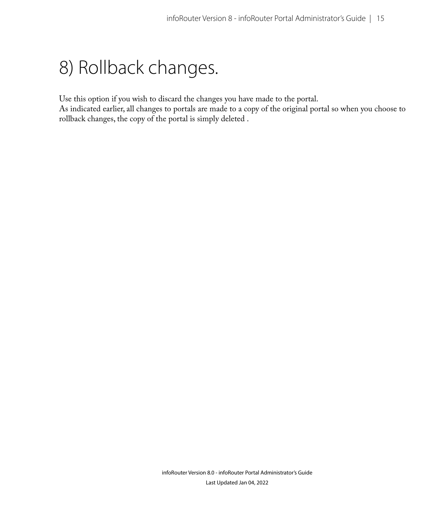### 8) Rollback changes.

Use this option if you wish to discard the changes you have made to the portal.

As indicated earlier, all changes to portals are made to a copy of the original portal so when you choose to rollback changes, the copy of the portal is simply deleted .